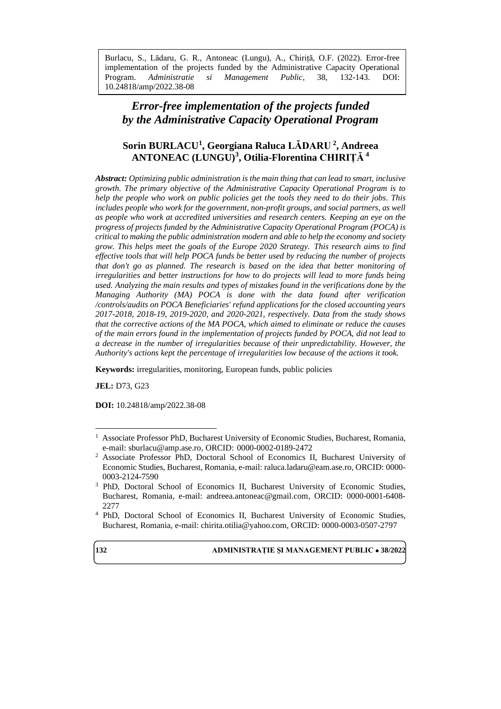Burlacu, S., Lădaru, G. R., Antoneac (Lungu), A., Chiriță, O.F. (2022). Error-free implementation of the projects funded by the Administrative Capacity Operational Program. *Administratie si Management Public*, 38, 132-143. DOI: 10.24818/amp/2022.38-08

# *Error-free implementation of the projects funded by the Administrative Capacity Operational Program*

# **Sorin BURLACU<sup>1</sup> , Georgiana Raluca LĂDARU <sup>2</sup> , Andreea ANTONEAC (LUNGU)<sup>3</sup> , Otilia-Florentina CHIRIȚĂ <sup>4</sup>**

*Abstract: Optimizing public administration is the main thing that can lead to smart, inclusive growth. The primary objective of the Administrative Capacity Operational Program is to help the people who work on public policies get the tools they need to do their jobs. This includes people who work for the government, non-profit groups, and social partners, as well as people who work at accredited universities and research centers. Keeping an eye on the progress of projects funded by the Administrative Capacity Operational Program (POCA) is critical to making the public administration modern and able to help the economy and society grow. This helps meet the goals of the Europe 2020 Strategy. This research aims to find effective tools that will help POCA funds be better used by reducing the number of projects that don't go as planned. The research is based on the idea that better monitoring of irregularities and better instructions for how to do projects will lead to more funds being used. Analyzing the main results and types of mistakes found in the verifications done by the Managing Authority (MA) POCA is done with the data found after verification /controls/audits on POCA Beneficiaries' refund applications for the closed accounting years 2017-2018, 2018-19, 2019-2020, and 2020-2021, respectively. Data from the study shows that the corrective actions of the MA POCA, which aimed to eliminate or reduce the causes of the main errors found in the implementation of projects funded by POCA, did not lead to a decrease in the number of irregularities because of their unpredictability. However, the Authority's actions kept the percentage of irregularities low because of the actions it took.* 

**Keywords:** irregularities, monitoring, European funds, public policies

**JEL:** D73, G23

**DOI:** 10.24818/amp/2022.38-08

<sup>4</sup> PhD, Doctoral School of Economics II, Bucharest University of Economic Studies, Bucharest, Romania, e-mail: [chirita.otilia@yahoo.com,](mailto:chirita.otilia@yahoo.com) ORCID: 0000-0003-0507-2797



<sup>&</sup>lt;sup>1</sup> Associate Professor PhD, Bucharest University of Economic Studies, Bucharest, Romania, e-mail[: sburlacu@amp.ase.ro,](mailto:sburlacu@amp.ase.ro) ORCID: 0000-0002-0189-2472

<sup>&</sup>lt;sup>2</sup> Associate Professor PhD, Doctoral School of Economics II, Bucharest University of Economic Studies, Bucharest, Romania, e-mail: [raluca.ladaru@eam.ase.ro,](mailto:raluca.ladaru@eam.ase.ro) ORCID: [0000-](https://orcid.org/0000-0003-2124-7590) [0003-2124-7590](https://orcid.org/0000-0003-2124-7590)

<sup>3</sup> PhD, Doctoral School of Economics II, Bucharest University of Economic Studies, Bucharest, Romania, e-mail: [andreea.antoneac@gmail.com,](mailto:andreea.antoneac@gmail.com) ORCID: 0000-0001-6408- 2277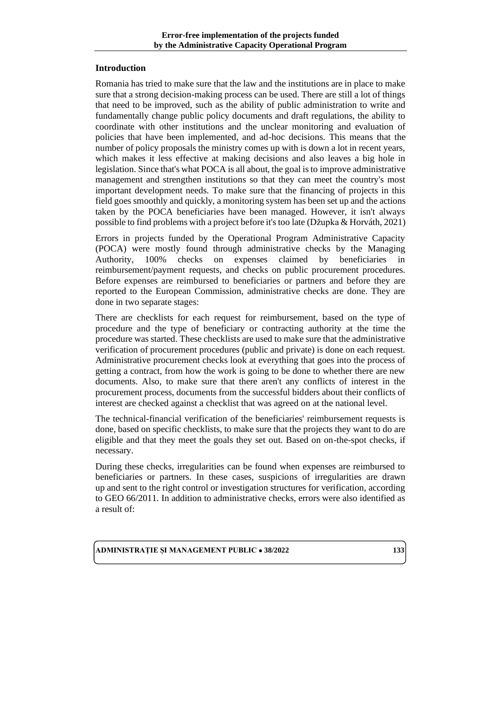### **Introduction**

Romania has tried to make sure that the law and the institutions are in place to make sure that a strong decision-making process can be used. There are still a lot of things that need to be improved, such as the ability of public administration to write and fundamentally change public policy documents and draft regulations, the ability to coordinate with other institutions and the unclear monitoring and evaluation of policies that have been implemented, and ad-hoc decisions. This means that the number of policy proposals the ministry comes up with is down a lot in recent years, which makes it less effective at making decisions and also leaves a big hole in legislation. Since that's what POCA is all about, the goal is to improve administrative management and strengthen institutions so that they can meet the country's most important development needs. To make sure that the financing of projects in this field goes smoothly and quickly, a monitoring system has been set up and the actions taken by the POCA beneficiaries have been managed. However, it isn't always possible to find problems with a project before it's too late (Džupka & Horváth, 2021)

Errors in projects funded by the Operational Program Administrative Capacity (POCA) were mostly found through administrative checks by the Managing Authority, 100% checks on expenses claimed by beneficiaries in reimbursement/payment requests, and checks on public procurement procedures. Before expenses are reimbursed to beneficiaries or partners and before they are reported to the European Commission, administrative checks are done. They are done in two separate stages:

There are checklists for each request for reimbursement, based on the type of procedure and the type of beneficiary or contracting authority at the time the procedure was started. These checklists are used to make sure that the administrative verification of procurement procedures (public and private) is done on each request. Administrative procurement checks look at everything that goes into the process of getting a contract, from how the work is going to be done to whether there are new documents. Also, to make sure that there aren't any conflicts of interest in the procurement process, documents from the successful bidders about their conflicts of interest are checked against a checklist that was agreed on at the national level.

The technical-financial verification of the beneficiaries' reimbursement requests is done, based on specific checklists, to make sure that the projects they want to do are eligible and that they meet the goals they set out. Based on on-the-spot checks, if necessary.

During these checks, irregularities can be found when expenses are reimbursed to beneficiaries or partners. In these cases, suspicions of irregularities are drawn up and sent to the right control or investigation structures for verification, according to GEO 66/2011. In addition to administrative checks, errors were also identified as a result of: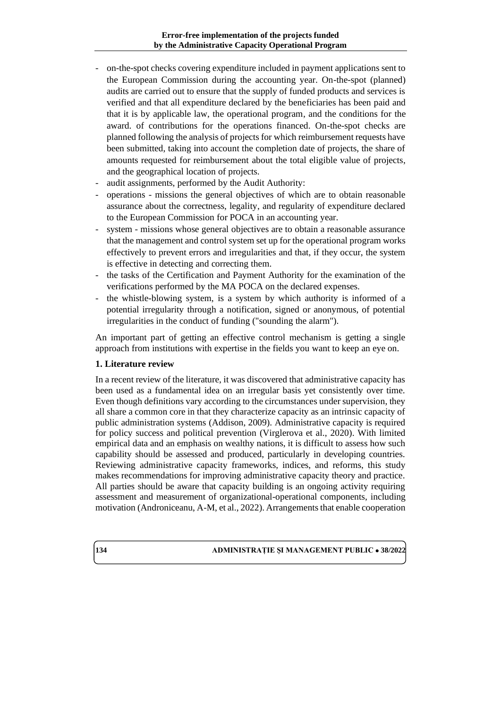- on-the-spot checks covering expenditure included in payment applications sent to the European Commission during the accounting year. On-the-spot (planned) audits are carried out to ensure that the supply of funded products and services is verified and that all expenditure declared by the beneficiaries has been paid and that it is by applicable law, the operational program, and the conditions for the award. of contributions for the operations financed. On-the-spot checks are planned following the analysis of projects for which reimbursement requests have been submitted, taking into account the completion date of projects, the share of amounts requested for reimbursement about the total eligible value of projects, and the geographical location of projects.
- audit assignments, performed by the Audit Authority:
- operations missions the general objectives of which are to obtain reasonable assurance about the correctness, legality, and regularity of expenditure declared to the European Commission for POCA in an accounting year.
- system missions whose general objectives are to obtain a reasonable assurance that the management and control system set up for the operational program works effectively to prevent errors and irregularities and that, if they occur, the system is effective in detecting and correcting them.
- the tasks of the Certification and Payment Authority for the examination of the verifications performed by the MA POCA on the declared expenses.
- the whistle-blowing system, is a system by which authority is informed of a potential irregularity through a notification, signed or anonymous, of potential irregularities in the conduct of funding ("sounding the alarm").

An important part of getting an effective control mechanism is getting a single approach from institutions with expertise in the fields you want to keep an eye on.

# **1. Literature review**

In a recent review of the literature, it was discovered that administrative capacity has been used as a fundamental idea on an irregular basis yet consistently over time. Even though definitions vary according to the circumstances under supervision, they all share a common core in that they characterize capacity as an intrinsic capacity of public administration systems (Addison, 2009). Administrative capacity is required for policy success and political prevention (Virglerova et al., 2020). With limited empirical data and an emphasis on wealthy nations, it is difficult to assess how such capability should be assessed and produced, particularly in developing countries. Reviewing administrative capacity frameworks, indices, and reforms, this study makes recommendations for improving administrative capacity theory and practice. All parties should be aware that capacity building is an ongoing activity requiring assessment and measurement of organizational-operational components, including motivation (Androniceanu, A-M, et al., 2022). Arrangements that enable cooperation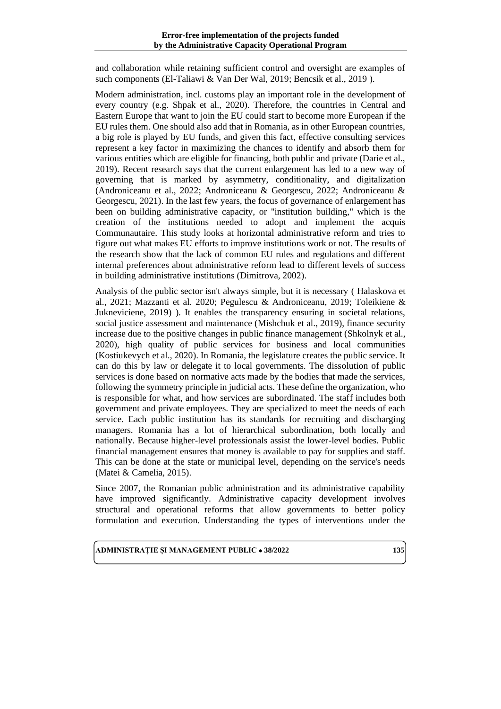and collaboration while retaining sufficient control and oversight are examples of such components (El-Taliawi & Van Der Wal, 2019; Bencsik et al., 2019 ).

Modern administration, incl. customs play an important role in the development of every country (e.g. Shpak et al., 2020). Therefore, the countries in Central and Eastern Europe that want to join the EU could start to become more European if the EU rules them. One should also add that in Romania, as in other European countries, a big role is played by EU funds, and given this fact, effective consulting services represent a key factor in maximizing the chances to identify and absorb them for various entities which are eligible for financing, both public and private (Darie et al., 2019). Recent research says that the current enlargement has led to a new way of governing that is marked by asymmetry, conditionality, and digitalization (Androniceanu et al., 2022; Androniceanu & Georgescu, 2022; Androniceanu & Georgescu, 2021). In the last few years, the focus of governance of enlargement has been on building administrative capacity, or "institution building," which is the creation of the institutions needed to adopt and implement the acquis Communautaire. This study looks at horizontal administrative reform and tries to figure out what makes EU efforts to improve institutions work or not. The results of the research show that the lack of common EU rules and regulations and different internal preferences about administrative reform lead to different levels of success in building administrative institutions (Dimitrova, 2002).

Analysis of the public sector isn't always simple, but it is necessary ( Halaskova et al., 2021; Mazzanti et al. 2020; Pegulescu & Androniceanu, 2019; Toleikiene & Jukneviciene, 2019) ). It enables the transparency ensuring in societal relations, social justice assessment and maintenance (Mishchuk et al., 2019), finance security increase due to the positive changes in public finance management (Shkolnyk et al., 2020), high quality of public services for business and local communities (Kostiukevych et al., 2020). In Romania, the legislature creates the public service. It can do this by law or delegate it to local governments. The dissolution of public services is done based on normative acts made by the bodies that made the services, following the symmetry principle in judicial acts. These define the organization, who is responsible for what, and how services are subordinated. The staff includes both government and private employees. They are specialized to meet the needs of each service. Each public institution has its standards for recruiting and discharging managers. Romania has a lot of hierarchical subordination, both locally and nationally. Because higher-level professionals assist the lower-level bodies. Public financial management ensures that money is available to pay for supplies and staff. This can be done at the state or municipal level, depending on the service's needs (Matei & Camelia, 2015).

Since 2007, the Romanian public administration and its administrative capability have improved significantly. Administrative capacity development involves structural and operational reforms that allow governments to better policy formulation and execution. Understanding the types of interventions under the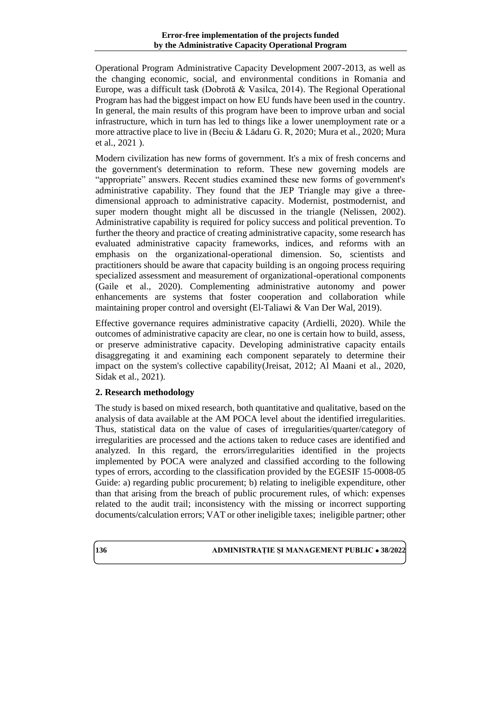Operational Program Administrative Capacity Development 2007-2013, as well as the changing economic, social, and environmental conditions in Romania and Europe, was a difficult task (Dobrotă & Vasilca, 2014). The Regional Operational Program has had the biggest impact on how EU funds have been used in the country. In general, the main results of this program have been to improve urban and social infrastructure, which in turn has led to things like a lower unemployment rate or a more attractive place to live in (Beciu & Lădaru G. R, 2020; Mura et al., 2020; Mura et al., 2021 ).

Modern civilization has new forms of government. It's a mix of fresh concerns and the government's determination to reform. These new governing models are "appropriate" answers. Recent studies examined these new forms of government's administrative capability. They found that the JEP Triangle may give a threedimensional approach to administrative capacity. Modernist, postmodernist, and super modern thought might all be discussed in the triangle (Nelissen, 2002). Administrative capability is required for policy success and political prevention. To further the theory and practice of creating administrative capacity, some research has evaluated administrative capacity frameworks, indices, and reforms with an emphasis on the organizational-operational dimension. So, scientists and practitioners should be aware that capacity building is an ongoing process requiring specialized assessment and measurement of organizational-operational components (Gaile et al., 2020). Complementing administrative autonomy and power enhancements are systems that foster cooperation and collaboration while maintaining proper control and oversight (El-Taliawi & Van Der Wal, 2019).

Effective governance requires administrative capacity (Ardielli, 2020). While the outcomes of administrative capacity are clear, no one is certain how to build, assess, or preserve administrative capacity. Developing administrative capacity entails disaggregating it and examining each component separately to determine their impact on the system's collective capability(Jreisat, 2012; Al Maani et al., 2020, Sidak et al., 2021).

# **2. Research methodology**

The study is based on mixed research, both quantitative and qualitative, based on the analysis of data available at the AM POCA level about the identified irregularities. Thus, statistical data on the value of cases of irregularities/quarter/category of irregularities are processed and the actions taken to reduce cases are identified and analyzed. In this regard, the errors/irregularities identified in the projects implemented by POCA were analyzed and classified according to the following types of errors, according to the classification provided by the EGESIF 15-0008-05 Guide: a) regarding public procurement; b) relating to ineligible expenditure, other than that arising from the breach of public procurement rules, of which: expenses related to the audit trail; inconsistency with the missing or incorrect supporting documents/calculation errors; VAT or other ineligible taxes; ineligible partner; other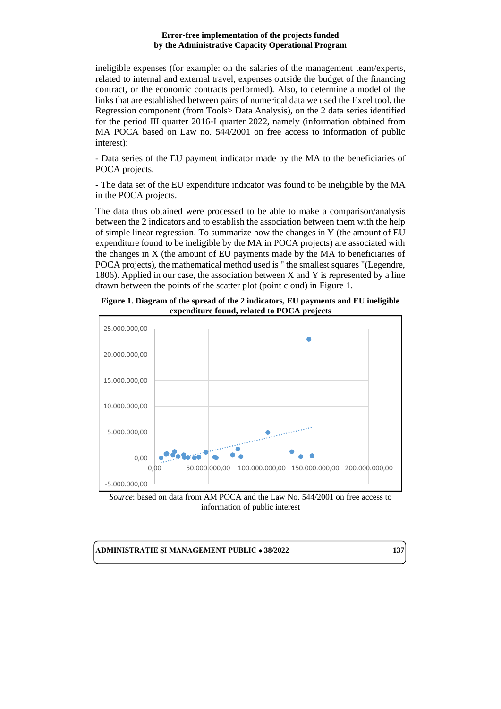ineligible expenses (for example: on the salaries of the management team/experts, related to internal and external travel, expenses outside the budget of the financing contract, or the economic contracts performed). Also, to determine a model of the links that are established between pairs of numerical data we used the Excel tool, the Regression component (from Tools> Data Analysis), on the 2 data series identified for the period III quarter 2016-I quarter 2022, namely (information obtained from MA POCA based on Law no. 544/2001 on free access to information of public interest):

- Data series of the EU payment indicator made by the MA to the beneficiaries of POCA projects.

- The data set of the EU expenditure indicator was found to be ineligible by the MA in the POCA projects.

The data thus obtained were processed to be able to make a comparison/analysis between the 2 indicators and to establish the association between them with the help of simple linear regression. To summarize how the changes in Y (the amount of EU expenditure found to be ineligible by the MA in POCA projects) are associated with the changes in X (the amount of EU payments made by the MA to beneficiaries of POCA projects), the mathematical method used is " the smallest squares "(Legendre, 1806). Applied in our case, the association between X and Y is represented by a line drawn between the points of the scatter plot (point cloud) in Figure 1.

**Figure 1. Diagram of the spread of the 2 indicators, EU payments and EU ineligible expenditure found, related to POCA projects**



*Source*: based on data from AM POCA and the Law No. 544/2001 on free access to information of public interest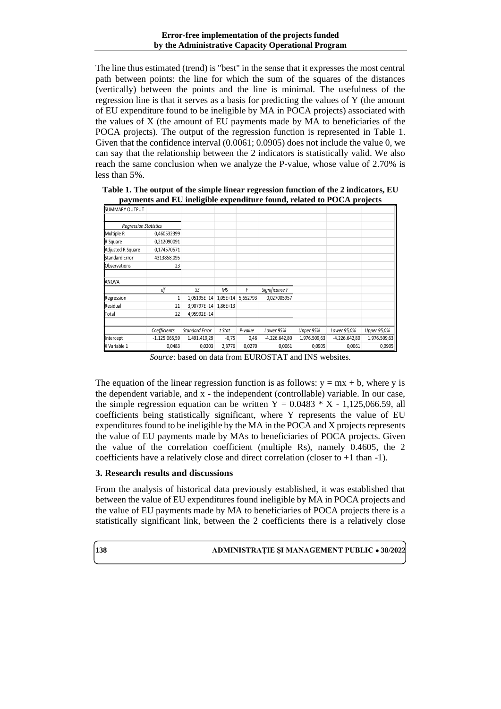The line thus estimated (trend) is "best" in the sense that it expresses the most central path between points: the line for which the sum of the squares of the distances (vertically) between the points and the line is minimal. The usefulness of the regression line is that it serves as a basis for predicting the values of Y (the amount of EU expenditure found to be ineligible by MA in POCA projects) associated with the values of X (the amount of EU payments made by MA to beneficiaries of the POCA projects). The output of the regression function is represented in Table 1. Given that the confidence interval (0.0061; 0.0905) does not include the value 0, we can say that the relationship between the 2 indicators is statistically valid. We also reach the same conclusion when we analyze the P-value, whose value of 2.70% is less than 5%.

**Table 1. The output of the simple linear regression function of the 2 indicators, EU payments and EU ineligible expenditure found, related to POCA projects**

| <b>SUMMARY OUTPUT</b>        |                 |                       |          |          |                 |              |                 |              |
|------------------------------|-----------------|-----------------------|----------|----------|-----------------|--------------|-----------------|--------------|
|                              |                 |                       |          |          |                 |              |                 |              |
| <b>Regression Statistics</b> |                 |                       |          |          |                 |              |                 |              |
| Multiple R                   | 0,460532399     |                       |          |          |                 |              |                 |              |
| R Square                     | 0,212090091     |                       |          |          |                 |              |                 |              |
| Adjusted R Square            | 0,174570571     |                       |          |          |                 |              |                 |              |
| Standard Error               | 4313858,095     |                       |          |          |                 |              |                 |              |
| Observations                 | 23              |                       |          |          |                 |              |                 |              |
| ANOVA                        |                 |                       |          |          |                 |              |                 |              |
|                              | df              | SS                    | MS       | F        | Significance F  |              |                 |              |
| Regression                   | 1               | 1,05195E+14           | 1,05E+14 | 5,652793 | 0,027005957     |              |                 |              |
| Residual                     | 21              | 3,90797E+14           | 1,86E+13 |          |                 |              |                 |              |
| Total                        | 22              | 4,95992E+14           |          |          |                 |              |                 |              |
|                              |                 |                       |          |          |                 |              |                 |              |
|                              | Coefficients    | <b>Standard Error</b> | t Stat   | P-value  | Lower 95%       | Upper 95%    | Lower 95,0%     | Upper 95,0%  |
| Intercept                    | $-1.125.066,59$ | 1.491.419,29          | $-0,75$  | 0,46     | $-4.226.642,80$ | 1.976.509,63 | $-4.226.642,80$ | 1.976.509,63 |
| X Variable 1                 | 0,0483          | 0,0203                | 2,3776   | 0,0270   | 0,0061          | 0,0905       | 0,0061          | 0,0905       |

*Source*: based on data from EUROSTAT and INS websites.

The equation of the linear regression function is as follows:  $y = mx + b$ , where y is the dependent variable, and x - the independent (controllable) variable. In our case, the simple regression equation can be written  $Y = 0.0483 * X - 1.125,066.59$ , all coefficients being statistically significant, where Y represents the value of EU expenditures found to be ineligible by the MA in the POCA and X projects represents the value of EU payments made by MAs to beneficiaries of POCA projects. Given the value of the correlation coefficient (multiple Rs), namely 0.4605, the 2 coefficients have a relatively close and direct correlation (closer to +1 than -1).

# **3. Research results and discussions**

From the analysis of historical data previously established, it was established that between the value of EU expenditures found ineligible by MA in POCA projects and the value of EU payments made by MA to beneficiaries of POCA projects there is a statistically significant link, between the 2 coefficients there is a relatively close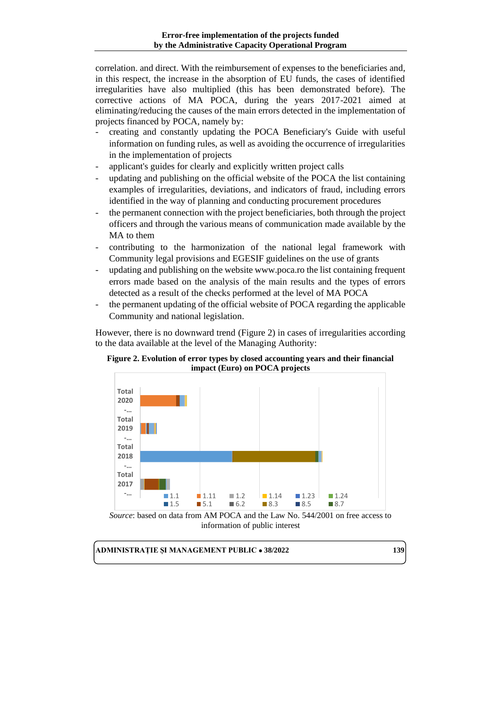correlation. and direct. With the reimbursement of expenses to the beneficiaries and, in this respect, the increase in the absorption of EU funds, the cases of identified irregularities have also multiplied (this has been demonstrated before). The corrective actions of MA POCA, during the years 2017-2021 aimed at eliminating/reducing the causes of the main errors detected in the implementation of projects financed by POCA, namely by:

- creating and constantly updating the POCA Beneficiary's Guide with useful information on funding rules, as well as avoiding the occurrence of irregularities in the implementation of projects
- applicant's guides for clearly and explicitly written project calls
- updating and publishing on the official website of the POCA the list containing examples of irregularities, deviations, and indicators of fraud, including errors identified in the way of planning and conducting procurement procedures
- the permanent connection with the project beneficiaries, both through the project officers and through the various means of communication made available by the MA to them
- contributing to the harmonization of the national legal framework with Community legal provisions and EGESIF guidelines on the use of grants
- updating and publishing on the website www.poca.ro the list containing frequent errors made based on the analysis of the main results and the types of errors detected as a result of the checks performed at the level of MA POCA
- the permanent updating of the official website of POCA regarding the applicable Community and national legislation.

However, there is no downward trend (Figure 2) in cases of irregularities according to the data available at the level of the Managing Authority:





*Source*: based on data from AM POCA and the Law No. 544/2001 on free access to information of public interest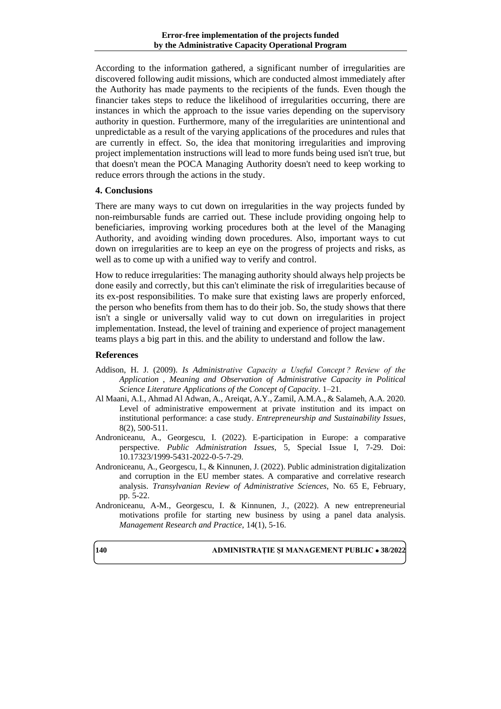According to the information gathered, a significant number of irregularities are discovered following audit missions, which are conducted almost immediately after the Authority has made payments to the recipients of the funds. Even though the financier takes steps to reduce the likelihood of irregularities occurring, there are instances in which the approach to the issue varies depending on the supervisory authority in question. Furthermore, many of the irregularities are unintentional and unpredictable as a result of the varying applications of the procedures and rules that are currently in effect. So, the idea that monitoring irregularities and improving project implementation instructions will lead to more funds being used isn't true, but that doesn't mean the POCA Managing Authority doesn't need to keep working to reduce errors through the actions in the study.

### **4. Conclusions**

There are many ways to cut down on irregularities in the way projects funded by non-reimbursable funds are carried out. These include providing ongoing help to beneficiaries, improving working procedures both at the level of the Managing Authority, and avoiding winding down procedures. Also, important ways to cut down on irregularities are to keep an eye on the progress of projects and risks, as well as to come up with a unified way to verify and control.

How to reduce irregularities: The managing authority should always help projects be done easily and correctly, but this can't eliminate the risk of irregularities because of its ex-post responsibilities. To make sure that existing laws are properly enforced, the person who benefits from them has to do their job. So, the study shows that there isn't a single or universally valid way to cut down on irregularities in project implementation. Instead, the level of training and experience of project management teams plays a big part in this. and the ability to understand and follow the law.

#### **References**

- Addison, H. J. (2009). *Is Administrative Capacity a Useful Concept ? Review of the Application , Meaning and Observation of Administrative Capacity in Political Science Literature Applications of the Concept of Capacity*. 1–21.
- Al Maani, A.I., Ahmad Al Adwan, A., Areiqat, A.Y., Zamil, A.M.A., & Salameh, A.A. 2020. Level of administrative empowerment at private institution and its impact on institutional performance: a case study. *Entrepreneurship and Sustainability Issues*, 8(2), 500-511.
- Androniceanu, A., Georgescu, I. (2022). E-participation in Europe: a comparative perspective. *Public Administration Issues*, 5, Special Issue I, 7-29. Doi: 10.17323/1999-5431-2022-0-5-7-29.
- Androniceanu, A., Georgescu, I., & Kinnunen, J. (2022). Public administration digitalization and corruption in the EU member states. A comparative and correlative research analysis. *Transylvanian Review of Administrative Sciences*, No. 65 E, February, pp. 5-22.
- Androniceanu, A-M., Georgescu, I. & Kinnunen, J., (2022). A new entrepreneurial motivations profile for starting new business by using a panel data analysis. *Management Research and Practice*, 14(1), 5-16.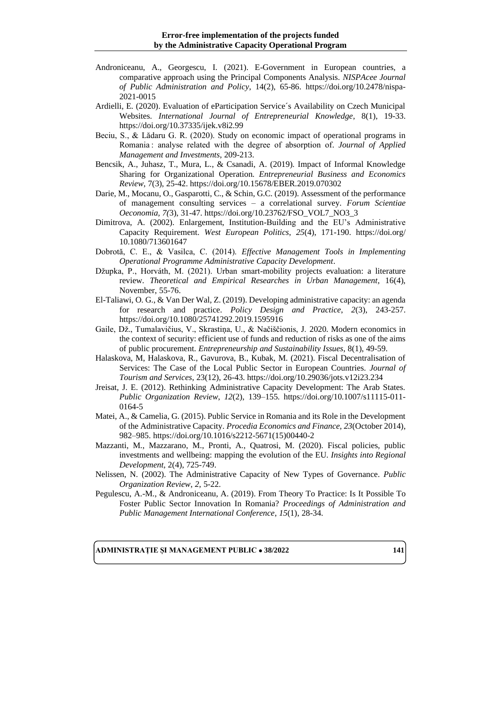- Androniceanu, A., Georgescu, I. (2021). E-Government in European countries, a comparative approach using the Principal Components Analysis. *NISPAcee Journal of Public Administration and Policy*, 14(2), 65-86. [https://doi.org/10.2478/nispa-](https://doi.org/10.2478/nispa-2021-0015)[2021-0015](https://doi.org/10.2478/nispa-2021-0015)
- Ardielli, E. (2020). Evaluation of eParticipation Service´s Availability on Czech Municipal Websites. *International Journal of Entrepreneurial Knowledge*, 8(1), 19-33. https://doi.org/10.37335/ijek.v8i2.99
- Beciu, S., & Lădaru G. R. (2020). Study on economic impact of operational programs in Romania : analyse related with the degree of absorption of. *Journal of Applied Management and Investments*, 209-213.
- Bencsik, A., Juhasz, T., Mura, L., & Csanadi, A. (2019). Impact of Informal Knowledge Sharing for Organizational Operation. *Entrepreneurial Business and Economics Review*, 7(3), 25-42. https://doi.org/10.15678/EBER.2019.070302
- Darie, M., Mocanu, O., Gasparotti, C., & Schin, G.C. (2019). Assessment of the performance of management consulting services – a correlational survey. *Forum Scientiae Oeconomia, 7(*3), 31-47. [https://doi.org/10.23762/FSO\\_VOL7\\_NO3\\_3](https://doi.org/10.23762/FSO_VOL7_NO3_3)
- Dimitrova, A. (2002). Enlargement, Institution-Building and the EU's Administrative Capacity Requirement. *West European Politics*, *25*(4), 171-190. https://doi.org/ 10.1080/713601647
- Dobrotă, C. E., & Vasilca, C. (2014). *Effective Management Tools in Implementing Operational Programme Administrative Capacity Development*.
- Džupka, P., Horváth, M. (2021). Urban smart-mobility projects evaluation: a literature review. *Theoretical and Empirical Researches in Urban Management*, 16(4), November, 55-76.
- El-Taliawi, O. G., & Van Der Wal, Z. (2019). Developing administrative capacity: an agenda for research and practice. *Policy Design and Practice*, *2*(3), 243-257. https://doi.org/10.1080/25741292.2019.1595916
- Gaile, Dž., Tumalavičius, V., Skrastiņa, U., & Načiščionis, J. 2020. Modern economics in the context of security: efficient use of funds and reduction of risks as one of the aims of public procurement. *Entrepreneurship and Sustainability Issues*, 8(1), 49-59.
- Halaskova, M, Halaskova, R., Gavurova, B., Kubak, M. (2021). Fiscal Decentralisation of Services: The Case of the Local Public Sector in European Countries. *Journal of Tourism and Services*, 23(12), 26-43. https://doi.org/10.29036/jots.v12i23.234
- Jreisat, J. E. (2012). Rethinking Administrative Capacity Development: The Arab States. *Public Organization Review*, *12*(2), 139–155. https://doi.org/10.1007/s11115-011- 0164-5
- Matei, A., & Camelia, G. (2015). Public Service in Romania and its Role in the Development of the Administrative Capacity. *Procedia Economics and Finance*, *23*(October 2014), 982–985. https://doi.org/10.1016/s2212-5671(15)00440-2
- Mazzanti, M., Mazzarano, M., Pronti, A., Quatrosi, M. (2020). Fiscal policies, public investments and wellbeing: mapping the evolution of the EU. *Insights into Regional Development*, 2(4), 725-749.
- Nelissen, N. (2002). The Administrative Capacity of New Types of Governance. *Public Organization Review*, *2*, 5-22.
- Pegulescu, A.-M., & Androniceanu, A. (2019). From Theory To Practice: Is It Possible To Foster Public Sector Innovation In Romania? *Proceedings of Administration and Public Management International Conference*, *15*(1), 28-34.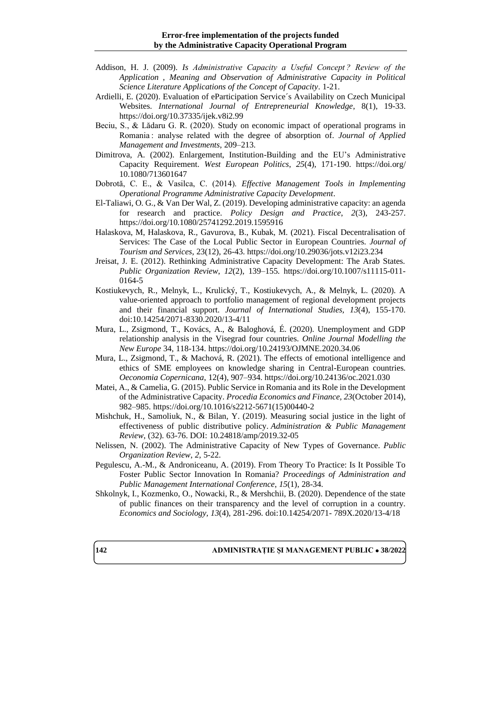- Addison, H. J. (2009). *Is Administrative Capacity a Useful Concept ? Review of the Application , Meaning and Observation of Administrative Capacity in Political Science Literature Applications of the Concept of Capacity*. 1-21.
- Ardielli, E. (2020). Evaluation of eParticipation Service´s Availability on Czech Municipal Websites. *International Journal of Entrepreneurial Knowledge*, 8(1), 19-33. https://doi.org/10.37335/ijek.v8i2.99
- Beciu, S., & Lădaru G. R. (2020). Study on economic impact of operational programs in Romania : analyse related with the degree of absorption of. *Journal of Applied Management and Investments*, 209–213.
- Dimitrova, A. (2002). Enlargement, Institution-Building and the EU's Administrative Capacity Requirement. *West European Politics*, *25*(4), 171-190. https://doi.org/ 10.1080/713601647
- Dobrotă, C. E., & Vasilca, C. (2014). *Effective Management Tools in Implementing Operational Programme Administrative Capacity Development*.
- El-Taliawi, O. G., & Van Der Wal, Z. (2019). Developing administrative capacity: an agenda for research and practice. *Policy Design and Practice*, *2*(3), 243-257. https://doi.org/10.1080/25741292.2019.1595916
- Halaskova, M, Halaskova, R., Gavurova, B., Kubak, M. (2021). Fiscal Decentralisation of Services: The Case of the Local Public Sector in European Countries. *Journal of Tourism and Services*, 23(12), 26-43. https://doi.org/10.29036/jots.v12i23.234
- Jreisat, J. E. (2012). Rethinking Administrative Capacity Development: The Arab States. *Public Organization Review*, *12*(2), 139–155. https://doi.org/10.1007/s11115-011- 0164-5
- Kostiukevych, R., Melnyk, L., Krulický, T., Kostiukevych, A., & Melnyk, L. (2020). A value-oriented approach to portfolio management of regional development projects and their financial support. *Journal of International Studies, 13*(4), 155-170. doi:10.14254/2071-8330.2020/13-4/11
- Mura, L., Zsigmond, T., Kovács, A., & Baloghová, É. (2020). Unemployment and GDP relationship analysis in the Visegrad four countries. *Online Journal Modelling the New Europe* 34, 118-134. https://doi.org/10.24193/OJMNE.2020.34.06
- Mura, L., Zsigmond, T., & Machová, R. (2021). The effects of emotional intelligence and ethics of SME employees on knowledge sharing in Central-European countries. *Oeconomia Copernicana*, 12(4), 907–934. https://doi.org/10.24136/oc.2021.030
- Matei, A., & Camelia, G. (2015). Public Service in Romania and its Role in the Development of the Administrative Capacity. *Procedia Economics and Finance*, *23*(October 2014), 982–985. https://doi.org/10.1016/s2212-5671(15)00440-2
- Mishchuk, H., Samoliuk, N., & Bilan, Y. (2019). Measuring social justice in the light of effectiveness of public distributive policy. *Administration & Public Management Review*, (32). 63-76. DOI: 10.24818/amp/2019.32-05
- Nelissen, N. (2002). The Administrative Capacity of New Types of Governance. *Public Organization Review*, *2*, 5-22.
- Pegulescu, A.-M., & Androniceanu, A. (2019). From Theory To Practice: Is It Possible To Foster Public Sector Innovation In Romania? *Proceedings of Administration and Public Management International Conference*, *15*(1), 28-34.
- Shkolnyk, I., Kozmenko, O., Nowacki, R., & Mershchii, B. (2020). Dependence of the state of public finances on their transparency and the level of corruption in a country. *Economics and Sociology, 13*(4), 281-296. doi:10.14254/2071- 789X.2020/13-4/18